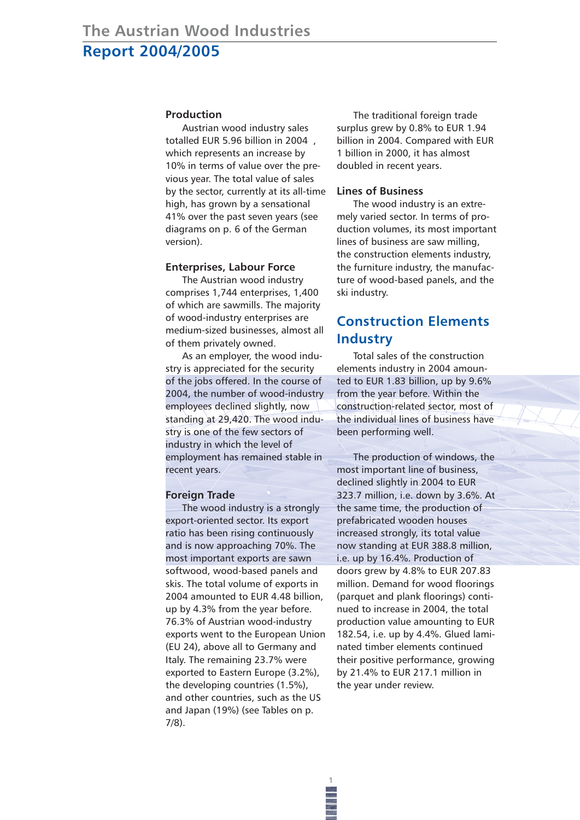#### **Production**

Austrian wood industry sales totalled EUR 5.96 billion in 2004 , which represents an increase by 10% in terms of value over the previous year. The total value of sales by the sector, currently at its all-time high, has grown by a sensational 41% over the past seven years (see diagrams on p. 6 of the German version).

#### **Enterprises, Labour Force**

The Austrian wood industry comprises 1,744 enterprises, 1,400 of which are sawmills. The majority of wood-industry enterprises are medium-sized businesses, almost all of them privately owned.

As an employer, the wood industry is appreciated for the security of the jobs offered. In the course of 2004, the number of wood-industry employees declined slightly, now standing at 29,420. The wood industry is one of the few sectors of industry in which the level of employment has remained stable in recent years.

#### **Foreign Trade**

The wood industry is a strongly export-oriented sector. Its export ratio has been rising continuously and is now approaching 70%. The most important exports are sawn softwood, wood-based panels and skis. The total volume of exports in 2004 amounted to EUR 4.48 billion, up by 4.3% from the year before. 76.3% of Austrian wood-industry exports went to the European Union (EU 24), above all to Germany and Italy. The remaining 23.7% were exported to Eastern Europe (3.2%), the developing countries (1.5%), and other countries, such as the US and Japan (19%) (see Tables on p. 7/8).

The traditional foreign trade surplus grew by 0.8% to EUR 1.94 billion in 2004. Compared with EUR 1 billion in 2000, it has almost doubled in recent years.

### **Lines of Business**

The wood industry is an extremely varied sector. In terms of production volumes, its most important lines of business are saw milling, the construction elements industry, the furniture industry, the manufacture of wood-based panels, and the ski industry.

# **Construction Elements Industry**

Total sales of the construction elements industry in 2004 amounted to EUR 1.83 billion, up by 9.6% from the year before. Within the construction-related sector, most of the individual lines of business have been performing well.

The production of windows, the most important line of business, declined slightly in 2004 to EUR 323.7 million, i.e. down by 3.6%. At the same time, the production of prefabricated wooden houses increased strongly, its total value now standing at EUR 388.8 million, i.e. up by 16.4%. Production of doors grew by 4.8% to EUR 207.83 million. Demand for wood floorings (parquet and plank floorings) continued to increase in 2004, the total production value amounting to EUR 182.54, i.e. up by 4.4%. Glued laminated timber elements continued their positive performance, growing by 21.4% to EUR 217.1 million in the year under review.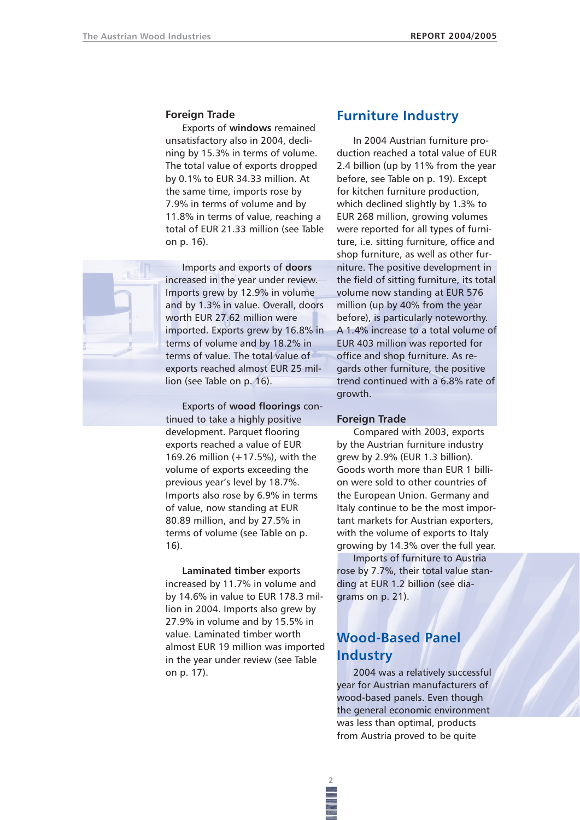### **Foreign Trade**

Exports of **windows** remained unsatisfactory also in 2004, declining by 15.3% in terms of volume. The total value of exports dropped by 0.1% to EUR 34.33 million. At the same time, imports rose by 7.9% in terms of volume and by 11.8% in terms of value, reaching a total of EUR 21.33 million (see Table on p. 16).

Imports and exports of **doors** increased in the year under review. Imports grew by 12.9% in volume and by 1.3% in value. Overall, doors worth EUR 27.62 million were imported. Exports grew by 16.8% in terms of volume and by 18.2% in terms of value. The total value of exports reached almost EUR 25 million (see Table on p. 16).

Exports of **wood floorings** continued to take a highly positive development. Parquet flooring exports reached a value of EUR 169.26 million (+17.5%), with the volume of exports exceeding the previous year's level by 18.7%. Imports also rose by 6.9% in terms of value, now standing at EUR 80.89 million, and by 27.5% in terms of volume (see Table on p. 16).

**Laminated timber** exports increased by 11.7% in volume and by 14.6% in value to EUR 178.3 million in 2004. Imports also grew by 27.9% in volume and by 15.5% in value. Laminated timber worth almost EUR 19 million was imported in the year under review (see Table on p. 17).

# **Furniture Industry**

In 2004 Austrian furniture production reached a total value of EUR 2.4 billion (up by 11% from the year before, see Table on p. 19). Except for kitchen furniture production, which declined slightly by 1.3% to EUR 268 million, growing volumes were reported for all types of furniture, i.e. sitting furniture, office and shop furniture, as well as other furniture. The positive development in the field of sitting furniture, its total volume now standing at EUR 576 million (up by 40% from the year before), is particularly noteworthy. A 1.4% increase to a total volume of EUR 403 million was reported for office and shop furniture. As regards other furniture, the positive trend continued with a 6.8% rate of growth.

#### **Foreign Trade**

Compared with 2003, exports by the Austrian furniture industry grew by 2.9% (EUR 1.3 billion). Goods worth more than EUR 1 billion were sold to other countries of the European Union. Germany and Italy continue to be the most important markets for Austrian exporters, with the volume of exports to Italy growing by 14.3% over the full year. Imports of furniture to Austria rose by 7.7%, their total value standing at EUR 1.2 billion (see dia-

grams on p. 21).

# **Wood-Based Panel Industry**

2004 was a relatively successful year for Austrian manufacturers of wood-based panels. Even though the general economic environment was less than optimal, products from Austria proved to be quite

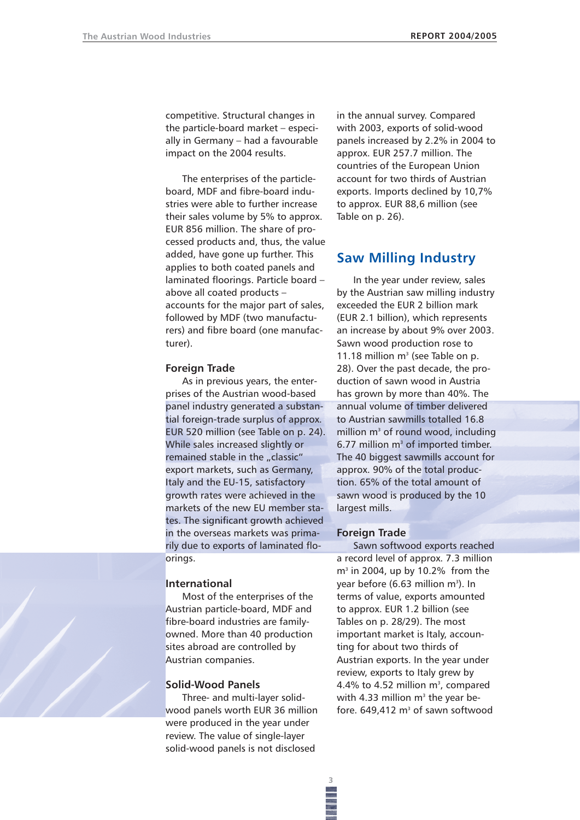competitive. Structural changes in the particle-board market – especially in Germany – had a favourable impact on the 2004 results.

The enterprises of the particleboard, MDF and fibre-board industries were able to further increase their sales volume by 5% to approx. EUR 856 million. The share of processed products and, thus, the value added, have gone up further. This applies to both coated panels and laminated floorings. Particle board – above all coated products – accounts for the major part of sales, followed by MDF (two manufacturers) and fibre board (one manufacturer).

#### **Foreign Trade**

As in previous years, the enterprises of the Austrian wood-based panel industry generated a substantial foreign-trade surplus of approx. EUR 520 million (see Table on p. 24). While sales increased slightly or remained stable in the "classic" export markets, such as Germany, Italy and the EU-15, satisfactory growth rates were achieved in the markets of the new EU member states. The significant growth achieved in the overseas markets was primarily due to exports of laminated floorings.

#### **International**

Most of the enterprises of the Austrian particle-board, MDF and fibre-board industries are familyowned. More than 40 production sites abroad are controlled by Austrian companies.

## **Solid-Wood Panels**

Three- and multi-layer solidwood panels worth EUR 36 million were produced in the year under review. The value of single-layer solid-wood panels is not disclosed

in the annual survey. Compared with 2003, exports of solid-wood panels increased by 2.2% in 2004 to approx. EUR 257.7 million. The countries of the European Union account for two thirds of Austrian exports. Imports declined by 10,7% to approx. EUR 88,6 million (see Table on p. 26).

# **Saw Milling Industry**

In the year under review, sales by the Austrian saw milling industry exceeded the EUR 2 billion mark (EUR 2.1 billion), which represents an increase by about 9% over 2003. Sawn wood production rose to 11.18 million  $m<sup>3</sup>$  (see Table on p. 28). Over the past decade, the production of sawn wood in Austria has grown by more than 40%. The annual volume of timber delivered to Austrian sawmills totalled 16.8 million  $m<sup>3</sup>$  of round wood, including 6.77 million  $m<sup>3</sup>$  of imported timber. The 40 biggest sawmills account for approx. 90% of the total production. 65% of the total amount of sawn wood is produced by the 10 largest mills.

### **Foreign Trade**

Sawn softwood exports reached a record level of approx. 7.3 million  $m<sup>3</sup>$  in 2004, up by 10.2% from the year before (6.63 million m<sup>3</sup>). In terms of value, exports amounted to approx. EUR 1.2 billion (see Tables on p. 28/29). The most important market is Italy, accounting for about two thirds of Austrian exports. In the year under review, exports to Italy grew by 4.4% to 4.52 million  $m^3$ , compared with 4.33 million  $m<sup>3</sup>$  the year before.  $649.412 \text{ m}^3$  of sawn softwood